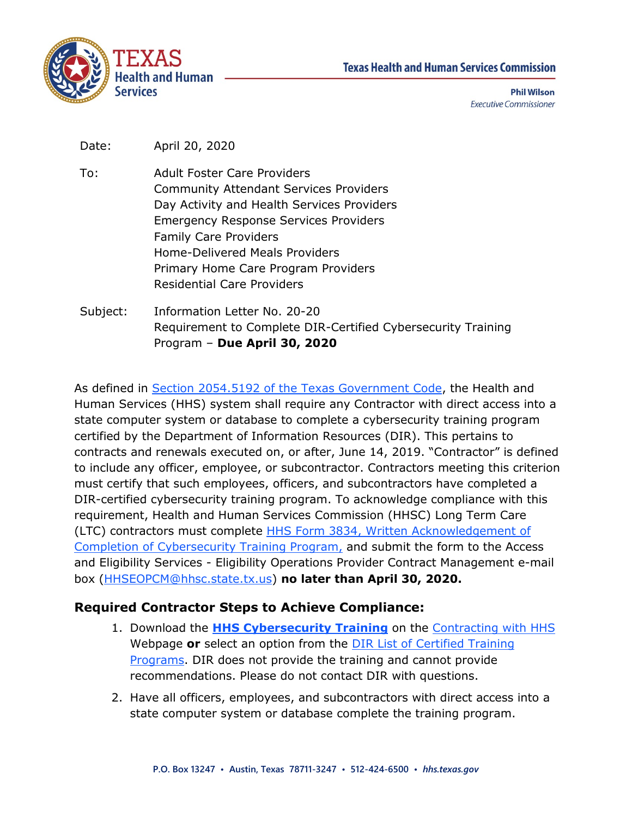



**Phil Wilson Executive Commissioner** 

Date: April 20, 2020

- To: Adult Foster Care Providers Community Attendant Services Providers Day Activity and Health Services Providers Emergency Response Services Providers Family Care Providers Home-Delivered Meals Providers Primary Home Care Program Providers Residential Care Providers
- Subject: Information Letter No. 20-20 Requirement to Complete DIR-Certified Cybersecurity Training Program – **Due April 30, 2020**

As defined in [Section 2054.5192 of the Texas Government Code,](https://statutes.capitol.texas.gov/Docs/GV/htm/GV.2054.htm) the Health and Human Services (HHS) system shall require any Contractor with direct access into a state computer system or database to complete a cybersecurity training program certified by the Department of Information Resources (DIR). This pertains to contracts and renewals executed on, or after, June 14, 2019. "Contractor" is defined to include any officer, employee, or subcontractor. Contractors meeting this criterion must certify that such employees, officers, and subcontractors have completed a DIR-certified cybersecurity training program. To acknowledge compliance with this requirement, Health and Human Services Commission (HHSC) Long Term Care (LTC) contractors must complete [HHS Form 3834, Written Acknowledgement of](https://hhs.texas.gov/laws-regulations/forms/3000-3999/form-3834-written-acknowledgement-completion-cybersecurity-training-program)  [Completion of Cybersecurity Training Program,](https://hhs.texas.gov/laws-regulations/forms/3000-3999/form-3834-written-acknowledgement-completion-cybersecurity-training-program) and submit the form to the Access and Eligibility Services - Eligibility Operations Provider Contract Management e-mail box [\(HHSEOPCM@hhsc.state.tx.us\)](mailto:HHSEOPCM@hhsc.state.tx.us) **no later than April 30, 2020.**

## **Required Contractor Steps to Achieve Compliance:**

- 1. Download the **[HHS Cybersecurity Training](https://hhs.texas.gov/sites/default/files/documents/doing-business-with-hhs/contracting/hhs-information-security-cybersecurity-training-for-contractors.pdf)** on the [Contracting with HHS](https://hhs.texas.gov/doing-business-hhs/contracting-hhs) Webpage **or** select an option from the [DIR List of Certified Training](https://dir.texas.gov/View-About-DIR/Information-Security/Pages/Content.aspx?id=154#certified)  [Programs.](https://dir.texas.gov/View-About-DIR/Information-Security/Pages/Content.aspx?id=154#certified) DIR does not provide the training and cannot provide recommendations. Please do not contact DIR with questions.
- 2. Have all officers, employees, and subcontractors with direct access into a state computer system or database complete the training program.